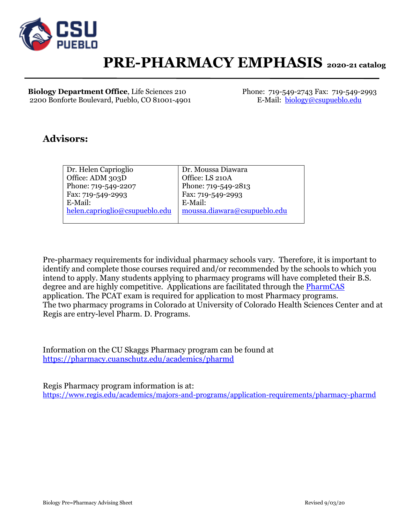

# **PRE-PHARMACY EMPHASIS 2020-21 catalog**

**Biology Department Office**, Life Sciences 210 Phone: 719-549-2743 Fax: 719-549-2993 2200 Bonforte Boulevard, Pueblo, CO 81001-4901 E-Mail: [biology@csupueblo.edu](mailto:biology@csupueblo.edu)

## **Advisors:**

| Dr. Helen Caprioglio           | Dr. Moussa Diawara           |
|--------------------------------|------------------------------|
| Office: ADM 303D               | Office: LS 210A              |
| Phone: 719-549-2207            | Phone: 719-549-2813          |
| Fax: 719-549-2993              | Fax: 719-549-2993            |
| E-Mail:                        | E-Mail:                      |
| helen.caprioglio@csupueblo.edu | moussa.diawara@csupueblo.edu |
|                                |                              |

Pre-pharmacy requirements for individual pharmacy schools vary. Therefore, it is important to identify and complete those courses required and/or recommended by the schools to which you intend to apply. Many students applying to pharmacy programs will have completed their B.S. degree and are highly competitive. Applications are facilitated through the [PharmCAS](https://www.pharmcas.org/) application. The PCAT exam is required for application to most Pharmacy programs. The two pharmacy programs in Colorado at University of Colorado Health Sciences Center and at Regis are entry-level Pharm. D. Programs.

Information on the CU Skaggs Pharmacy program can be found at <https://pharmacy.cuanschutz.edu/academics/pharmd>

Regis Pharmacy program information is at: <https://www.regis.edu/academics/majors-and-programs/application-requirements/pharmacy-pharmd>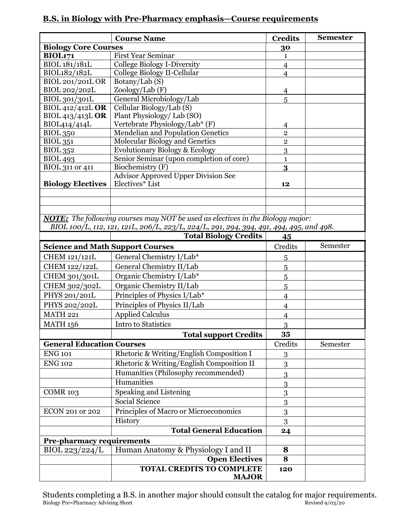## **B.S. in Biology with Pre-Pharmacy emphasis—Course requirements**

|                                         | <b>Course Name</b>                                                                      | <b>Credits</b>                   | <b>Semester</b> |
|-----------------------------------------|-----------------------------------------------------------------------------------------|----------------------------------|-----------------|
| <b>Biology Core Courses</b>             |                                                                                         | 30                               |                 |
| <b>BIOL171</b>                          | <b>First Year Seminar</b>                                                               | $\mathbf{1}$                     |                 |
| BIOL 181/181L                           | <b>College Biology I-Diversity</b>                                                      | $\overline{4}$                   |                 |
| BIOL182/182L                            | College Biology II-Cellular                                                             | $\overline{4}$                   |                 |
| <b>BIOL 201/201L OR</b>                 | Botany/Lab (S)                                                                          |                                  |                 |
| BIOL 202/202L                           | Zoology/Lab (F)                                                                         | $\overline{4}$                   |                 |
| BIOL 301/301L                           | General Microbiology/Lab                                                                | 5                                |                 |
| <b>BIOL 412/412L OR</b>                 | Cellular Biology/Lab (S)                                                                |                                  |                 |
| BIOL 413/413L OR                        | Plant Physiology/Lab (SO)                                                               |                                  |                 |
| BIOL414/414L<br><b>BIOL 350</b>         | Vertebrate Physiology/Lab* (F)<br><b>Mendelian and Population Genetics</b>              | $\overline{4}$<br>$\overline{2}$ |                 |
| <b>BIOL 351</b>                         | Molecular Biology and Genetics                                                          | $\overline{2}$                   |                 |
| <b>BIOL</b> 352                         | Evolutionary Biology & Ecology                                                          | 3                                |                 |
| <b>BIOL 493</b>                         | Senior Seminar (upon completion of core)                                                | $\mathbf 1$                      |                 |
| BIOL 311 or 411                         | Biochemistry (F)                                                                        | 3                                |                 |
|                                         | <b>Advisor Approved Upper Division See</b>                                              |                                  |                 |
| <b>Biology Electives</b>                | Electives* List                                                                         | 12                               |                 |
|                                         |                                                                                         |                                  |                 |
|                                         |                                                                                         |                                  |                 |
|                                         |                                                                                         |                                  |                 |
|                                         | <b>NOTE:</b> The following courses may NOT be used as electives in the Biology major:   |                                  |                 |
|                                         | BIOL 100/L, 112, 121, 121L, 206/L, 223/L, 224/L, 291, 294, 394, 491, 494, 495, and 498. |                                  |                 |
|                                         | <b>Total Biology Credits</b>                                                            | 45                               |                 |
| <b>Science and Math Support Courses</b> |                                                                                         | Credits                          | Semester        |
| CHEM 121/121L                           | General Chemistry I/Lab*                                                                | 5                                |                 |
| CHEM 122/122L                           | General Chemistry II/Lab                                                                | 5                                |                 |
| CHEM 301/301L                           | Organic Chemistry I/Lab*                                                                | 5                                |                 |
| CHEM 302/302L                           | Organic Chemistry II/Lab                                                                | $\overline{5}$                   |                 |
| PHYS 201/201L                           | Principles of Physics I/Lab*                                                            | $\overline{4}$                   |                 |
| PHYS 202/202L                           | Principles of Physics II/Lab                                                            | $\overline{4}$                   |                 |
| <b>MATH 221</b>                         | <b>Applied Calculus</b>                                                                 | $\overline{4}$                   |                 |
| <b>MATH 156</b>                         | <b>Intro to Statistics</b>                                                              | 3                                |                 |
|                                         | <b>Total support Credits</b>                                                            | 35                               |                 |
| <b>General Education Courses</b>        |                                                                                         | Credits                          | Semester        |
| <b>ENG 101</b>                          | Rhetoric & Writing/English Composition I                                                |                                  |                 |
| <b>ENG 102</b>                          | Rhetoric & Writing/English Composition II                                               | 3                                |                 |
|                                         |                                                                                         | 3                                |                 |
|                                         | Humanities (Philosophy recommended)                                                     | 3                                |                 |
|                                         | Humanities                                                                              | 3                                |                 |
| <b>COMR 103</b>                         | <b>Speaking and Listening</b>                                                           | 3                                |                 |
|                                         | Social Science                                                                          | $\boldsymbol{3}$                 |                 |
| ECON 201 or 202                         | Principles of Macro or Microeconomics                                                   | 3                                |                 |
|                                         | History                                                                                 | 3                                |                 |
|                                         | <b>Total General Education</b>                                                          | 24                               |                 |
| <b>Pre-pharmacy requirements</b>        |                                                                                         |                                  |                 |
| BIOL 223/224/L                          | Human Anatomy & Physiology I and II                                                     | 8                                |                 |
|                                         | <b>Open Electives</b>                                                                   | 8                                |                 |
|                                         | <b>TOTAL CREDITS TO COMPLETE</b>                                                        | 120                              |                 |
|                                         | <b>MAJOR</b>                                                                            |                                  |                 |